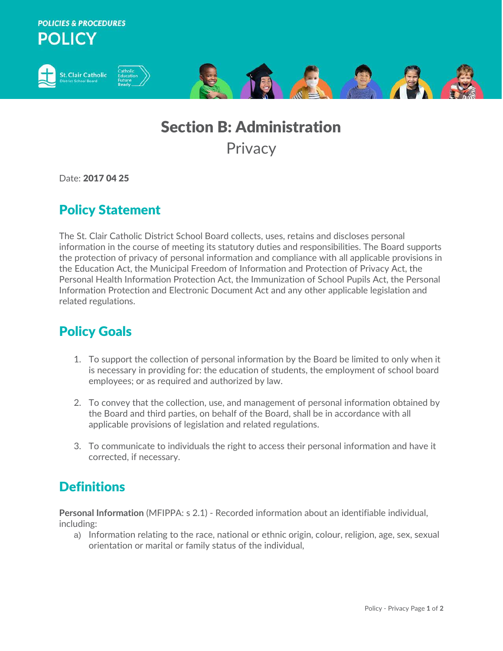**POLICIES & PROCEDURES POLICY** 



## Section B: Administration **Privacy**

Date: 2017 04 25

## Policy Statement

The St. Clair Catholic District School Board collects, uses, retains and discloses personal information in the course of meeting its statutory duties and responsibilities. The Board supports the protection of privacy of personal information and compliance with all applicable provisions in the Education Act, the Municipal Freedom of Information and Protection of Privacy Act, the Personal Health Information Protection Act, the Immunization of School Pupils Act, the Personal Information Protection and Electronic Document Act and any other applicable legislation and related regulations.

## Policy Goals

- 1. To support the collection of personal information by the Board be limited to only when it is necessary in providing for: the education of students, the employment of school board employees; or as required and authorized by law.
- 2. To convey that the collection, use, and management of personal information obtained by the Board and third parties, on behalf of the Board, shall be in accordance with all applicable provisions of legislation and related regulations.
- 3. To communicate to individuals the right to access their personal information and have it corrected, if necessary.

## **Definitions**

**Personal Information** (MFIPPA: s 2.1) - Recorded information about an identifiable individual, including:

a) Information relating to the race, national or ethnic origin, colour, religion, age, sex, sexual orientation or marital or family status of the individual,